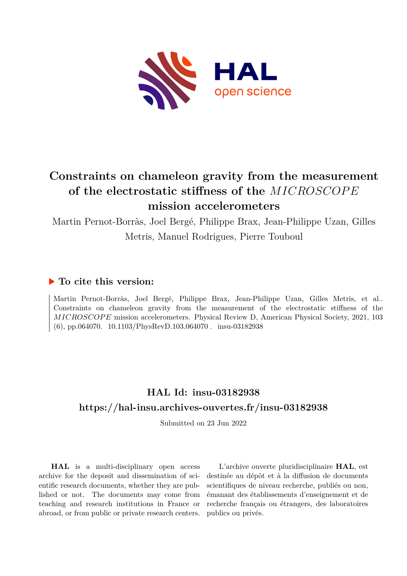

# **Constraints on chameleon gravity from the measurement of the electrostatic stiffness of the** *MICROSCOP E* **mission accelerometers**

Martin Pernot-Borràs, Joel Bergé, Philippe Brax, Jean-Philippe Uzan, Gilles Metris, Manuel Rodrigues, Pierre Touboul

## **To cite this version:**

Martin Pernot-Borràs, Joel Bergé, Philippe Brax, Jean-Philippe Uzan, Gilles Metris, et al.. Constraints on chameleon gravity from the measurement of the electrostatic stiffness of the *MICROSCOPE* mission accelerometers. Physical Review D, American Physical Society, 2021, 103 (6), pp.064070.  $10.1103/PhysRevD.103.064070$ . insu-03182938

## **HAL Id: insu-03182938 <https://hal-insu.archives-ouvertes.fr/insu-03182938>**

Submitted on 23 Jun 2022

**HAL** is a multi-disciplinary open access archive for the deposit and dissemination of scientific research documents, whether they are published or not. The documents may come from teaching and research institutions in France or abroad, or from public or private research centers.

L'archive ouverte pluridisciplinaire **HAL**, est destinée au dépôt et à la diffusion de documents scientifiques de niveau recherche, publiés ou non, émanant des établissements d'enseignement et de recherche français ou étrangers, des laboratoires publics ou privés.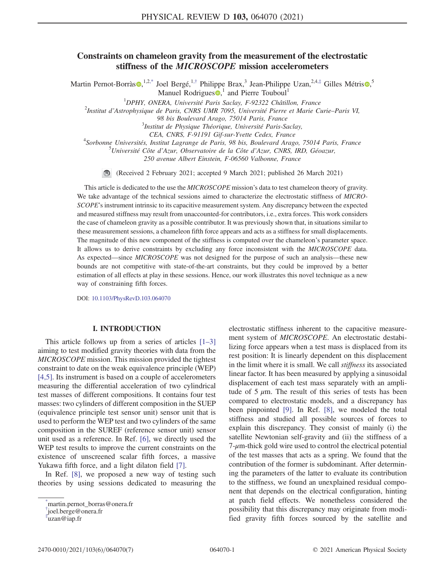### Constraints on chameleon gravity from the measurement of the electrostatic stiffness of the MICROSCOPE mission accelerometers

Martin Pernot-Borràs  $\bullet$ , <sup>1,2,\*</sup> Joel Bergé, <sup>1,†</sup> Philippe Brax,<sup>3</sup> Jean-Philippe Uzan, <sup>2,4,‡</sup> Gilles Métris  $\bullet$ ,<sup>5</sup> Manuel Rodrigues  $\bullet$ ,<sup>1</sup> and Pierre Touboul<sup>1</sup>

<sup>1</sup>DPHY, ONERA, Université Paris Saclay, F-92322 Châtillon, France<br><sup>2</sup>Institut d'Astrophysique de Paris, CNPS UMP 7005, Université Pierre et Marie C

<sup>2</sup>Institut d'Astrophysique de Paris, CNRS UMR 7095, Université Pierre et Marie Curie–Paris VI,

98 bis Boulevard Arago, 75014 Paris, France

 $3$ Institut de Physique Théorique, Université Paris-Saclay,

CEA, CNRS, F-91191 Gif-sur-Yvette Cedex, France

<sup>4</sup>Sorbonne Universités, Institut Lagrange de Paris, 98 bis, Boulevard Arago, 75014 Paris, France

 $^5$ Université Côte d'Azur, Observatoire de la Côte d'Azur, CNRS, IRD, Géoazur,

250 avenue Albert Einstein, F-06560 Valbonne, France

(Received 2 February 2021; accepted 9 March 2021; published 26 March 2021)

This article is dedicated to the use the MICROSCOPE mission's data to test chameleon theory of gravity. We take advantage of the technical sessions aimed to characterize the electrostatic stiffness of MICRO-SCOPE's instrument intrinsic to its capacitive measurement system. Any discrepancy between the expected and measured stiffness may result from unaccounted-for contributors, i.e., extra forces. This work considers the case of chameleon gravity as a possible contributor. It was previously shown that, in situations similar to these measurement sessions, a chameleon fifth force appears and acts as a stiffness for small displacements. The magnitude of this new component of the stiffness is computed over the chameleon's parameter space. It allows us to derive constraints by excluding any force inconsistent with the MICROSCOPE data. As expected—since MICROSCOPE was not designed for the purpose of such an analysis—these new bounds are not competitive with state-of-the-art constraints, but they could be improved by a better estimation of all effects at play in these sessions. Hence, our work illustrates this novel technique as a new way of constraining fifth forces.

DOI: [10.1103/PhysRevD.103.064070](https://doi.org/10.1103/PhysRevD.103.064070)

#### I. INTRODUCTION

This article follows up from a series of articles  $[1-3]$ aiming to test modified gravity theories with data from the MICROSCOPE mission. This mission provided the tightest constraint to date on the weak equivalence principle (WEP) [4,5]. Its instrument is based on a couple of accelerometers measuring the differential acceleration of two cylindrical test masses of different compositions. It contains four test masses: two cylinders of different composition in the SUEP (equivalence principle test sensor unit) sensor unit that is used to perform the WEP test and two cylinders of the same composition in the SUREF (reference sensor unit) sensor unit used as a reference. In Ref. [6], we directly used the WEP test results to improve the current constraints on the existence of unscreened scalar fifth forces, a massive Yukawa fifth force, and a light dilaton field [7].

In Ref. [8], we proposed a new way of testing such theories by using sessions dedicated to measuring the electrostatic stiffness inherent to the capacitive measurement system of MICROSCOPE. An electrostatic destabilizing force appears when a test mass is displaced from its rest position: It is linearly dependent on this displacement in the limit where it is small. We call stiffness its associated linear factor. It has been measured by applying a sinusoidal displacement of each test mass separately with an amplitude of  $5 \mu$ m. The result of this series of tests has been compared to electrostatic models, and a discrepancy has been pinpointed [9]. In Ref. [8], we modeled the total stiffness and studied all possible sources of forces to explain this discrepancy. They consist of mainly (i) the satellite Newtonian self-gravity and (ii) the stiffness of a  $7$ - $\mu$ m-thick gold wire used to control the electrical potential of the test masses that acts as a spring. We found that the contribution of the former is subdominant. After determining the parameters of the latter to evaluate its contribution to the stiffness, we found an unexplained residual component that depends on the electrical configuration, hinting at patch field effects. We nonetheless considered the possibility that this discrepancy may originate from modified gravity fifth forces sourced by the satellite and

<sup>\*</sup> martin.pernot\_borras@onera.fr

<sup>†</sup> joel.berge@onera.fr

<sup>‡</sup> uzan@iap.fr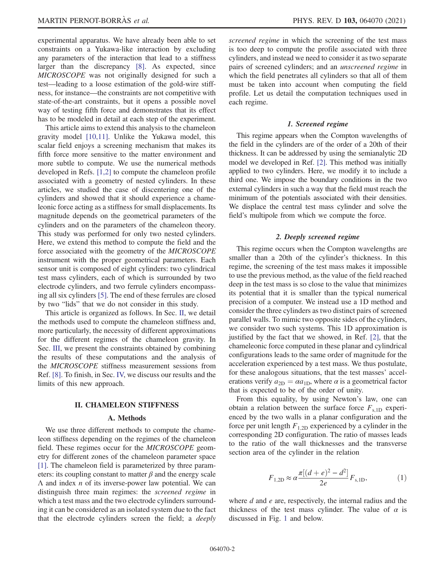experimental apparatus. We have already been able to set constraints on a Yukawa-like interaction by excluding any parameters of the interaction that lead to a stiffness larger than the discrepancy [8]. As expected, since MICROSCOPE was not originally designed for such a test—leading to a loose estimation of the gold-wire stiffness, for instance—the constraints are not competitive with state-of-the-art constraints, but it opens a possible novel way of testing fifth force and demonstrates that its effect has to be modeled in detail at each step of the experiment.

This article aims to extend this analysis to the chameleon gravity model [10,11]. Unlike the Yukawa model, this scalar field enjoys a screening mechanism that makes its fifth force more sensitive to the matter environment and more subtle to compute. We use the numerical methods developed in Refs. [1,2] to compute the chameleon profile associated with a geometry of nested cylinders. In these articles, we studied the case of discentering one of the cylinders and showed that it should experience a chameleonic force acting as a stiffness for small displacements. Its magnitude depends on the geometrical parameters of the cylinders and on the parameters of the chameleon theory. This study was performed for only two nested cylinders. Here, we extend this method to compute the field and the force associated with the geometry of the MICROSCOPE instrument with the proper geometrical parameters. Each sensor unit is composed of eight cylinders: two cylindrical test mass cylinders, each of which is surrounded by two electrode cylinders, and two ferrule cylinders encompassing all six cylinders [5]. The end of these ferrules are closed by two "lids" that we do not consider in this study.

This article is organized as follows. In Sec. II, we detail the methods used to compute the chameleon stiffness and, more particularly, the necessity of different approximations for the different regimes of the chameleon gravity. In Sec. III, we present the constraints obtained by combining the results of these computations and the analysis of the MICROSCOPE stiffness measurement sessions from Ref. [8]. To finish, in Sec. IV, we discuss our results and the limits of this new approach.

#### II. CHAMELEON STIFFNESS

#### A. Methods

We use three different methods to compute the chameleon stiffness depending on the regimes of the chameleon field. These regimes occur for the *MICROSCOPE* geometry for different zones of the chameleon parameter space [1]. The chameleon field is parameterized by three parameters: its coupling constant to matter  $\beta$  and the energy scale  $\Lambda$  and index *n* of its inverse-power law potential. We can distinguish three main regimes: the screened regime in which a test mass and the two electrode cylinders surrounding it can be considered as an isolated system due to the fact that the electrode cylinders screen the field; a deeply screened regime in which the screening of the test mass is too deep to compute the profile associated with three cylinders, and instead we need to consider it as two separate pairs of screened cylinders; and an unscreened regime in which the field penetrates all cylinders so that all of them must be taken into account when computing the field profile. Let us detail the computation techniques used in each regime.

#### 1. Screened regime

This regime appears when the Compton wavelengths of the field in the cylinders are of the order of a 20th of their thickness. It can be addressed by using the semianalytic 2D model we developed in Ref. [2]. This method was initially applied to two cylinders. Here, we modify it to include a third one. We impose the boundary conditions in the two external cylinders in such a way that the field must reach the minimum of the potentials associated with their densities. We displace the central test mass cylinder and solve the field's multipole from which we compute the force.

#### 2. Deeply screened regime

This regime occurs when the Compton wavelengths are smaller than a 20th of the cylinder's thickness. In this regime, the screening of the test mass makes it impossible to use the previous method, as the value of the field reached deep in the test mass is so close to the value that minimizes its potential that it is smaller than the typical numerical precision of a computer. We instead use a 1D method and consider the three cylinders as two distinct pairs of screened parallel walls. To mimic two opposite sides of the cylinders, we consider two such systems. This 1D approximation is justified by the fact that we showed, in Ref. [2], that the chameleonic force computed in these planar and cylindrical configurations leads to the same order of magnitude for the acceleration experienced by a test mass. We thus postulate, for these analogous situations, that the test masses' accelerations verify  $a_{2D} = \alpha a_{1D}$ , where  $\alpha$  is a geometrical factor that is expected to be of the order of unity.

From this equality, by using Newton's law, one can obtain a relation between the surface force  $F_{s,1D}$  experienced by the two walls in a planar configuration and the force per unit length  $F_{1,2D}$  experienced by a cylinder in the corresponding 2D configuration. The ratio of masses leads to the ratio of the wall thicknesses and the transverse section area of the cylinder in the relation

$$
F_{1,2D} \approx \alpha \frac{\pi [(d+e)^2 - d^2]}{2e} F_{s,1D},
$$
 (1)

where  $d$  and  $e$  are, respectively, the internal radius and the thickness of the test mass cylinder. The value of  $\alpha$  is discussed in Fig. 1 and below.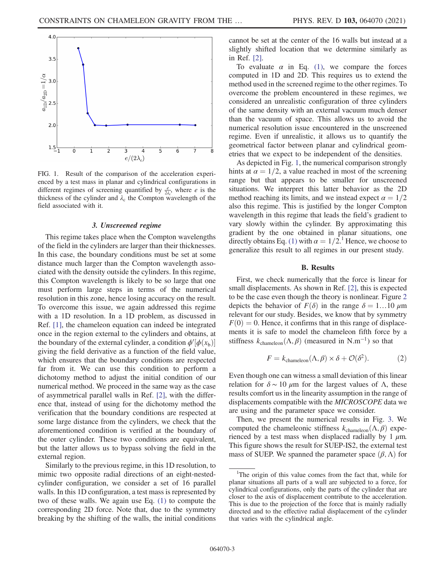

FIG. 1. Result of the comparison of the acceleration experienced by a test mass in planar and cylindrical configurations in different regimes of screening quantified by  $\frac{e}{2\lambda_c}$ , where *e* is the thickness of the cylinder and  $\lambda_c$  the Compton wavelength of the field associated with it.

#### 3. Unscreened regime

This regime takes place when the Compton wavelengths of the field in the cylinders are larger than their thicknesses. In this case, the boundary conditions must be set at some distance much larger than the Compton wavelength associated with the density outside the cylinders. In this regime, this Compton wavelength is likely to be so large that one must perform large steps in terms of the numerical resolution in this zone, hence losing accuracy on the result. To overcome this issue, we again addressed this regime with a 1D resolution. In a 1D problem, as discussed in Ref. [1], the chameleon equation can indeed be integrated once in the region external to the cylinders and obtains, at the boundary of the external cylinder, a condition  $\phi'[\phi(x_b)]$ giving the field derivative as a function of the field value, which ensures that the boundary conditions are respected far from it. We can use this condition to perform a dichotomy method to adjust the initial condition of our numerical method. We proceed in the same way as the case of asymmetrical parallel walls in Ref. [2], with the difference that, instead of using for the dichotomy method the verification that the boundary conditions are respected at some large distance from the cylinders, we check that the aforementioned condition is verified at the boundary of the outer cylinder. These two conditions are equivalent, but the latter allows us to bypass solving the field in the external region.

Similarly to the previous regime, in this 1D resolution, to mimic two opposite radial directions of an eight-nestedcylinder configuration, we consider a set of 16 parallel walls. In this 1D configuration, a test mass is represented by two of these walls. We again use Eq. (1) to compute the corresponding 2D force. Note that, due to the symmetry breaking by the shifting of the walls, the initial conditions cannot be set at the center of the 16 walls but instead at a slightly shifted location that we determine similarly as in Ref. [2].

To evaluate  $\alpha$  in Eq. (1), we compare the forces computed in 1D and 2D. This requires us to extend the method used in the screened regime to the other regimes. To overcome the problem encountered in these regimes, we considered an unrealistic configuration of three cylinders of the same density with an external vacuum much denser than the vacuum of space. This allows us to avoid the numerical resolution issue encountered in the unscreened regime. Even if unrealistic, it allows us to quantify the geometrical factor between planar and cylindrical geometries that we expect to be independent of the densities.

As depicted in Fig. 1, the numerical comparison strongly hints at  $\alpha = 1/2$ , a value reached in most of the screening range but that appears to be smaller for unscreened situations. We interpret this latter behavior as the 2D method reaching its limits, and we instead expect  $\alpha = 1/2$ also this regime. This is justified by the longer Compton wavelength in this regime that leads the field's gradient to vary slowly within the cylinder. By approximating this gradient by the one obtained in planar situations, one directly obtains Eq. (1) with  $\alpha = 1/2$ .<sup>1</sup> Hence, we choose to generalize this result to all regimes in our present study.

#### B. Results

First, we check numerically that the force is linear for small displacements. As shown in Ref. [2], this is expected to be the case even though the theory is nonlinear. Figure 2 depicts the behavior of  $F(\delta)$  in the range  $\delta = 1...10 \ \mu m$ relevant for our study. Besides, we know that by symmetry  $F(0) = 0$ . Hence, it confirms that in this range of displacements it is safe to model the chameleon fifth force by a stiffness  $k_{channeleon}(\Lambda, \beta)$  (measured in N.m<sup>-1</sup>) so that

$$
F = k_{\text{chameleon}}(\Lambda, \beta) \times \delta + \mathcal{O}(\delta^2). \tag{2}
$$

Even though one can witness a small deviation of this linear relation for  $\delta \sim 10 \mu m$  for the largest values of Λ, these results comfort us in the linearity assumption in the range of displacements compatible with the MICROSCOPE data we are using and the parameter space we consider.

Then, we present the numerical results in Fig. 3. We computed the chameleonic stiffness  $k_{channeleon}(\Lambda, \beta)$  experienced by a test mass when displaced radially by 1  $\mu$ m. This figure shows the result for SUEP-IS2, the external test mass of SUEP. We spanned the parameter space  $(\beta, \Lambda)$  for

<sup>&</sup>lt;sup>1</sup>The origin of this value comes from the fact that, while for planar situations all parts of a wall are subjected to a force, for cylindrical configurations, only the parts of the cylinder that are closer to the axis of displacement contribute to the acceleration. This is due to the projection of the force that is mainly radially directed and to the effective radial displacement of the cylinder that varies with the cylindrical angle.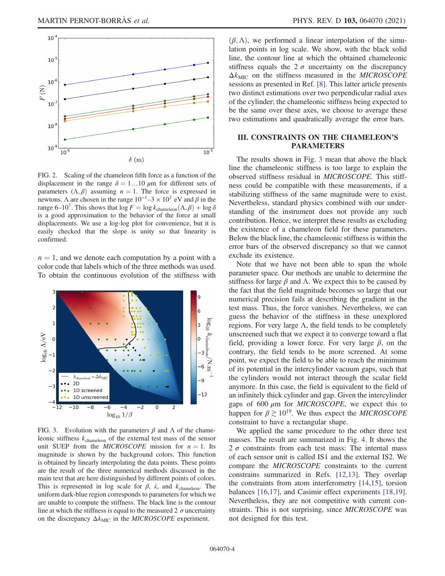

FIG. 2. Scaling of the chameleon fifth force as a function of the displacement in the range  $\delta = 1...10 \mu m$  for different sets of parameters  $(\Lambda, \beta)$  assuming  $n = 1$ . The force is expressed in newtons. Λ are chosen in the range  $10^{-1}$ –3 ×  $10^2$  eV and β in the range 6–10<sup>7</sup>. This shows that  $\log F = \log k_{\text{channeleon}}(\Lambda, \beta) + \log \delta$ is a good approximation to the behavior of the force at small displacements. We use a log-log plot for convenience, but it is easily checked that the slope is unity so that linearity is confirmed.

 $n = 1$ , and we denote each computation by a point with a color code that labels which of the three methods was used. To obtain the continuous evolution of the stiffness with



FIG. 3. Evolution with the parameters  $\beta$  and  $\Lambda$  of the chameleonic stiffness  $k_{channeleon}$  of the external test mass of the sensor unit SUEP from the *MICROSCOPE* mission for  $n = 1$ . Its magnitude is shown by the background colors. This function is obtained by linearly interpolating the data points. These points are the result of the three numerical methods discussed in the main text that are here distinguished by different points of colors. This is represented in log scale for  $\beta$ ,  $\lambda$ , and  $k_{channeleon}$ . The uniform dark-blue region corresponds to parameters for which we are unable to compute the stiffness. The black line is the contour line at which the stiffness is equal to the measured 2  $\sigma$  uncertainty on the discrepancy  $\Delta k_{\text{MIC}}$  in the *MICROSCOPE* experiment.

 $(\beta, \Lambda)$ , we performed a linear interpolation of the simulation points in log scale. We show, with the black solid line, the contour line at which the obtained chameleonic stiffness equals the  $2\sigma$  uncertainty on the discrepancy  $\Delta k_{\text{MIC}}$  on the stiffness measured in the MICROSCOPE sessions as presented in Ref. [8]. This latter article presents two distinct estimations over two perpendicular radial axes of the cylinder; the chameleonic stiffness being expected to be the same over these axes, we choose to average these two estimations and quadratically average the error bars.

### III. CONSTRAINTS ON THE CHAMELEON'S PARAMETERS

The results shown in Fig. 3 mean that above the black line the chameleonic stiffness is too large to explain the observed stiffness residual in MICROSCOPE. This stiffness could be compatible with these measurements, if a stabilizing stiffness of the same magnitude were to exist. Nevertheless, standard physics combined with our understanding of the instrument does not provide any such contribution. Hence, we interpret these results as excluding the existence of a chameleon field for these parameters. Below the black line, the chameleonic stiffness is within the error bars of the observed discrepancy so that we cannot exclude its existence.

Note that we have not been able to span the whole parameter space. Our methods are unable to determine the stiffness for large  $\beta$  and  $\Lambda$ . We expect this to be caused by the fact that the field magnitude becomes so large that our numerical precision fails at describing the gradient in the test mass. Thus, the force vanishes. Nevertheless, we can guess the behavior of the stiffness in these unexplored regions. For very large Λ, the field tends to be completely unscreened such that we expect it to converge toward a flat field, providing a lower force. For very large  $\beta$ , on the contrary, the field tends to be more screened. At some point, we expect the field to be able to reach the minimum of its potential in the intercylinder vacuum gaps, such that the cylinders would not interact through the scalar field anymore. In this case, the field is equivalent to the field of an infinitely thick cylinder and gap. Given the intercylinder gaps of 600  $\mu$ m for *MICROSCOPE*, we expect this to happen for  $\beta \geq 10^{19}$ . We thus expect the *MICROSCOPE* constraint to have a rectangular shape.

We applied the same procedure to the other three test masses. The result are summarized in Fig. 4. It shows the 2  $\sigma$  constraints from each test mass: The internal mass of each sensor unit is called IS1 and the external IS2. We compare the MICROSCOPE constraints to the current constrains summarized in Refs. [12,13]. They overlap the constraints from atom interferometry [14,15], torsion balances [16,17], and Casimir effect experiments [18,19]. Nevertheless, they are not competitive with current constraints. This is not surprising, since MICROSCOPE was not designed for this test.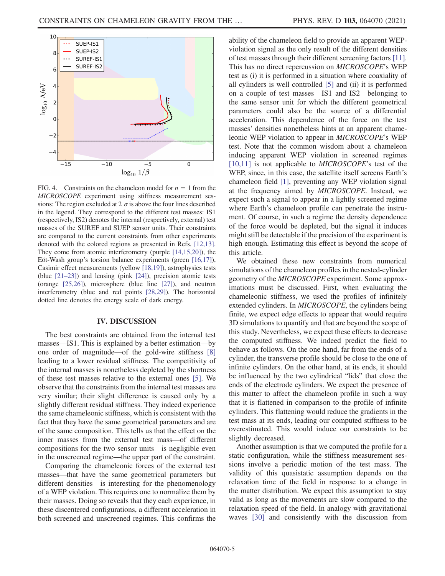

FIG. 4. Constraints on the chameleon model for  $n = 1$  from the MICROSCOPE experiment using stiffness measurement sessions: The region excluded at 2  $\sigma$  is above the four lines described in the legend. They correspond to the different test masses: IS1 (respectively, IS2) denotes the internal (respectively, external) test masses of the SUREF and SUEP sensor units. Their constraints are compared to the current constraints from other experiments denoted with the colored regions as presented in Refs. [12,13]. They come from atomic interferometry (purple [14,15,20]), the Eöt-Wash group's torsion balance experiments (green [16,17]), Casimir effect measurements (yellow [18,19]), astrophysics tests (blue [21–23]) and lensing (pink [24]), precision atomic tests (orange [25,26]), microsphere (blue line [27]), and neutron interferometry (blue and red points [28,29]). The horizontal dotted line denotes the energy scale of dark energy.

#### IV. DISCUSSION

The best constraints are obtained from the internal test masses—IS1. This is explained by a better estimation—by one order of magnitude—of the gold-wire stiffness [8] leading to a lower residual stiffness. The competitivity of the internal masses is nonetheless depleted by the shortness of these test masses relative to the external ones [5]. We observe that the constraints from the internal test masses are very similar; their slight difference is caused only by a slightly different residual stiffness. They indeed experience the same chameleonic stiffness, which is consistent with the fact that they have the same geometrical parameters and are of the same composition. This tells us that the effect on the inner masses from the external test mass—of different compositions for the two sensor units—is negligible even in the unscreened regime—the upper part of the constraint.

Comparing the chameleonic forces of the external test masses—that have the same geometrical parameters but different densities—is interesting for the phenomenology of a WEP violation. This requires one to normalize them by their masses. Doing so reveals that they each experience, in these discentered configurations, a different acceleration in both screened and unscreened regimes. This confirms the ability of the chameleon field to provide an apparent WEPviolation signal as the only result of the different densities of test masses through their different screening factors [11]. This has no direct repercussion on MICROSCOPE's WEP test as (i) it is performed in a situation where coaxiality of all cylinders is well controlled [5] and (ii) it is performed on a couple of test masses—IS1 and IS2—belonging to the same sensor unit for which the different geometrical parameters could also be the source of a differential acceleration. This dependence of the force on the test masses' densities nonetheless hints at an apparent chameleonic WEP violation to appear in MICROSCOPE's WEP test. Note that the common wisdom about a chameleon inducing apparent WEP violation in screened regimes [10,11] is not applicable to *MICROSCOPE*'s test of the WEP, since, in this case, the satellite itself screens Earth's chameleon field [1], preventing any WEP violation signal at the frequency aimed by MICROSCOPE. Instead, we expect such a signal to appear in a lightly screened regime where Earth's chameleon profile can penetrate the instrument. Of course, in such a regime the density dependence of the force would be depleted, but the signal it induces might still be detectable if the precision of the experiment is high enough. Estimating this effect is beyond the scope of this article.

We obtained these new constraints from numerical simulations of the chameleon profiles in the nested-cylinder geometry of the MICROSCOPE experiment. Some approximations must be discussed. First, when evaluating the chameleonic stiffness, we used the profiles of infinitely extended cylinders. In MICROSCOPE, the cylinders being finite, we expect edge effects to appear that would require 3D simulations to quantify and that are beyond the scope of this study. Nevertheless, we expect these effects to decrease the computed stiffness. We indeed predict the field to behave as follows. On the one hand, far from the ends of a cylinder, the transverse profile should be close to the one of infinite cylinders. On the other hand, at its ends, it should be influenced by the two cylindrical "lids" that close the ends of the electrode cylinders. We expect the presence of this matter to affect the chameleon profile in such a way that it is flattened in comparison to the profile of infinite cylinders. This flattening would reduce the gradients in the test mass at its ends, leading our computed stiffness to be overestimated. This would induce our constraints to be slightly decreased.

Another assumption is that we computed the profile for a static configuration, while the stiffness measurement sessions involve a periodic motion of the test mass. The validity of this quasistatic assumption depends on the relaxation time of the field in response to a change in the matter distribution. We expect this assumption to stay valid as long as the movements are slow compared to the relaxation speed of the field. In analogy with gravitational waves [30] and consistently with the discussion from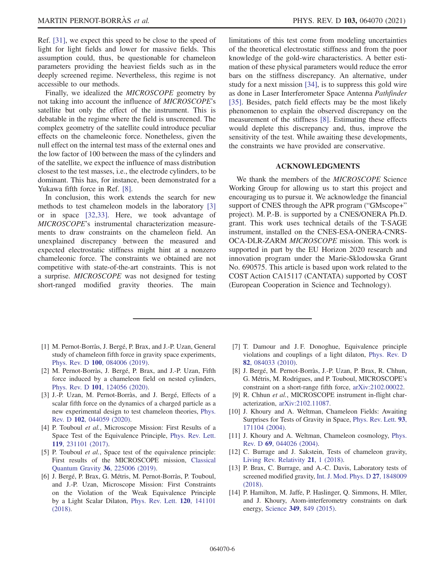Ref. [31], we expect this speed to be close to the speed of light for light fields and lower for massive fields. This assumption could, thus, be questionable for chameleon parameters providing the heaviest fields such as in the deeply screened regime. Nevertheless, this regime is not accessible to our methods.

Finally, we idealized the MICROSCOPE geometry by not taking into account the influence of MICROSCOPE's satellite but only the effect of the instrument. This is debatable in the regime where the field is unscreened. The complex geometry of the satellite could introduce peculiar effects on the chameleonic force. Nonetheless, given the null effect on the internal test mass of the external ones and the low factor of 100 between the mass of the cylinders and of the satellite, we expect the influence of mass distribution closest to the test masses, i.e., the electrode cylinders, to be dominant. This has, for instance, been demonstrated for a Yukawa fifth force in Ref. [8].

In conclusion, this work extends the search for new methods to test chameleon models in the laboratory [3] or in space [32,33]. Here, we took advantage of MICROSCOPE's instrumental characterization measurements to draw constraints on the chameleon field. An unexplained discrepancy between the measured and expected electrostatic stiffness might hint at a nonzero chameleonic force. The constraints we obtained are not competitive with state-of-the-art constraints. This is not a surprise. MICROSCOPE was not designed for testing short-ranged modified gravity theories. The main limitations of this test come from modeling uncertainties of the theoretical electrostatic stiffness and from the poor knowledge of the gold-wire characteristics. A better estimation of these physical parameters would reduce the error bars on the stiffness discrepancy. An alternative, under study for a next mission [34], is to suppress this gold wire as done in Laser Interferometer Space Antenna Pathfinder [35]. Besides, patch field effects may be the most likely phenomenon to explain the observed discrepancy on the measurement of the stiffness [8]. Estimating these effects would deplete this discrepancy and, thus, improve the sensitivity of the test. While awaiting these developments, the constraints we have provided are conservative.

#### ACKNOWLEDGMENTS

We thank the members of the MICROSCOPE Science Working Group for allowing us to start this project and encouraging us to pursue it. We acknowledge the financial support of CNES through the APR program ("GMscope+" project). M. P.-B. is supported by a CNES/ONERA Ph.D. grant. This work uses technical details of the T-SAGE instrument, installed on the CNES-ESA-ONERA-CNRS-OCA-DLR-ZARM MICROSCOPE mission. This work is supported in part by the EU Horizon 2020 research and innovation program under the Marie-Sklodowska Grant No. 690575. This article is based upon work related to the COST Action CA15117 (CANTATA) supported by COST (European Cooperation in Science and Technology).

- [1] M. Pernot-Borràs, J. Bergé, P. Brax, and J.-P. Uzan, General study of chameleon fifth force in gravity space experiments, Phys. Rev. D 100[, 084006 \(2019\)](https://doi.org/10.1103/PhysRevD.100.084006).
- [2] M. Pernot-Borràs, J. Bergé, P. Brax, and J.-P. Uzan, Fifth force induced by a chameleon field on nested cylinders, Phys. Rev. D 101[, 124056 \(2020\)](https://doi.org/10.1103/PhysRevD.101.124056).
- [3] J.-P. Uzan, M. Pernot-Borràs, and J. Bergé, Effects of a scalar fifth force on the dynamics of a charged particle as a new experimental design to test chameleon theories, [Phys.](https://doi.org/10.1103/PhysRevD.102.044059) Rev. D 102[, 044059 \(2020\)](https://doi.org/10.1103/PhysRevD.102.044059).
- [4] P. Touboul et al., Microscope Mission: First Results of a Space Test of the Equivalence Principle, [Phys. Rev. Lett.](https://doi.org/10.1103/PhysRevLett.119.231101) 119[, 231101 \(2017\).](https://doi.org/10.1103/PhysRevLett.119.231101)
- [5] P. Touboul et al., Space test of the equivalence principle: First results of the MICROSCOPE mission, [Classical](https://doi.org/10.1088/1361-6382/ab4707) [Quantum Gravity](https://doi.org/10.1088/1361-6382/ab4707) 36, 225006 (2019).
- [6] J. Bergé, P. Brax, G. Métris, M. Pernot-Borràs, P. Touboul, and J.-P. Uzan, Microscope Mission: First Constraints on the Violation of the Weak Equivalence Principle by a Light Scalar Dilaton, [Phys. Rev. Lett.](https://doi.org/10.1103/PhysRevLett.120.141101) 120, 141101 [\(2018\).](https://doi.org/10.1103/PhysRevLett.120.141101)
- [7] T. Damour and J. F. Donoghue, Equivalence principle violations and couplings of a light dilaton, [Phys. Rev. D](https://doi.org/10.1103/PhysRevD.82.084033) 82[, 084033 \(2010\).](https://doi.org/10.1103/PhysRevD.82.084033)
- [8] J. Bergé, M. Pernot-Borràs, J.-P. Uzan, P. Brax, R. Chhun, G. Métris, M. Rodrigues, and P. Touboul, MICROSCOPE's constraint on a short-range fifth force, [arXiv:2102.00022.](https://arXiv.org/abs/2102.00022)
- [9] R. Chhun et al., MICROSCOPE instrument in-flight characterization, [arXiv:2102.11087](https://arXiv.org/abs/2102.11087).
- [10] J. Khoury and A. Weltman, Chameleon Fields: Awaiting Surprises for Tests of Gravity in Space, [Phys. Rev. Lett.](https://doi.org/10.1103/PhysRevLett.93.171104) 93, [171104 \(2004\).](https://doi.org/10.1103/PhysRevLett.93.171104)
- [11] J. Khoury and A. Weltman, Chameleon cosmology, [Phys.](https://doi.org/10.1103/PhysRevD.69.044026) Rev. D 69[, 044026 \(2004\)](https://doi.org/10.1103/PhysRevD.69.044026).
- [12] C. Burrage and J. Sakstein, Tests of chameleon gravity, [Living Rev. Relativity](https://doi.org/10.1007/s41114-018-0011-x) 21, 1 (2018).
- [13] P. Brax, C. Burrage, and A.-C. Davis, Laboratory tests of screened modified gravity, [Int. J. Mod. Phys. D](https://doi.org/10.1142/S0218271818480097) 27, 1848009 [\(2018\).](https://doi.org/10.1142/S0218271818480097)
- [14] P. Hamilton, M. Jaffe, P. Haslinger, Q. Simmons, H. Mller, and J. Khoury, Atom-interferometry constraints on dark energy, Science 349[, 849 \(2015\).](https://doi.org/10.1126/science.aaa8883)